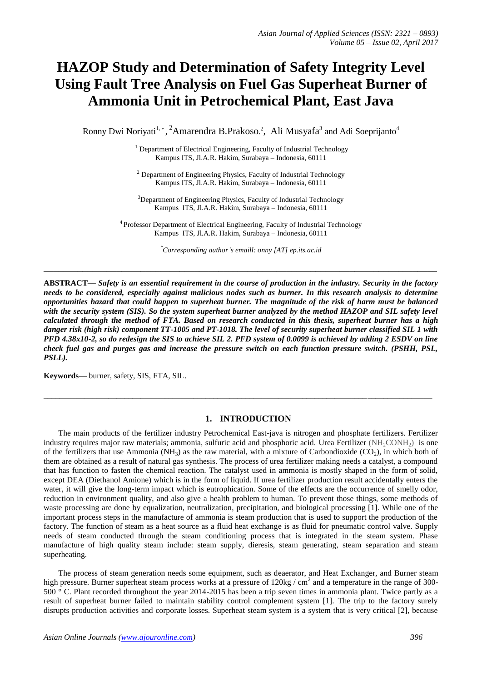# **HAZOP Study and Determination of Safety Integrity Level Using Fault Tree Analysis on Fuel Gas Superheat Burner of Ammonia Unit in Petrochemical Plant, East Java**

Ronny Dwi Noriyati<sup>1, \*</sup>, <sup>2</sup>Amarendra B.Prakoso.<sup>2</sup>, Ali Musyafa<sup>3</sup> and Adi Soeprijanto<sup>4</sup>

<sup>1</sup> Department of Electrical Engineering, Faculty of Industrial Technology Kampus ITS, Jl.A.R. Hakim, Surabaya – Indonesia, 60111

<sup>2</sup> Department of Engineering Physics, Faculty of Industrial Technology Kampus ITS, Jl.A.R. Hakim, Surabaya – Indonesia, 60111

<sup>3</sup>Department of Engineering Physics, Faculty of Industrial Technology Kampus ITS, Jl.A.R. Hakim, Surabaya – Indonesia, 60111

<sup>4</sup> Professor Department of Electrical Engineering, Faculty of Industrial Technology Kampus ITS, Jl.A.R. Hakim, Surabaya – Indonesia, 60111

*\*Corresponding author's emaill: onny [AT] ep.its.ac.id*

**\_\_\_\_\_\_\_\_\_\_\_\_\_\_\_\_\_\_\_\_\_\_\_\_\_\_\_\_\_\_\_\_\_\_\_\_\_\_\_\_\_\_\_\_\_\_\_\_\_\_\_\_\_\_\_\_\_\_\_\_\_\_\_\_\_\_\_\_\_\_\_\_\_\_\_\_\_\_\_\_\_**

**ABSTRACT—** *Safety is an essential requirement in the course of production in the industry. Security in the factory needs to be considered, especially against malicious nodes such as burner. In this research analysis to determine opportunities hazard that could happen to superheat burner. The magnitude of the risk of harm must be balanced*  with the security system (SIS). So the system superheat burner analyzed by the method HAZOP and SIL safety level *calculated through the method of FTA. Based on research conducted in this thesis, superheat burner has a high danger risk (high risk) component TT-1005 and PT-1018. The level of security superheat burner classified SIL 1 with PFD 4.38x10-2, so do redesign the SIS to achieve SIL 2. PFD system of 0.0099 is achieved by adding 2 ESDV on line check fuel gas and purges gas and increase the pressure switch on each function pressure switch. (PSHH, PSL, PSLL).*

**Keywords—** burner, safety, SIS, FTA, SIL.

#### **1. INTRODUCTION**

**\_\_\_\_\_\_\_\_\_\_\_\_\_\_\_\_\_\_\_\_\_\_\_\_\_\_\_\_\_\_\_\_\_\_\_\_\_\_\_\_\_\_\_\_\_\_\_\_\_\_\_\_\_\_\_\_\_\_\_\_\_\_\_\_\_\_\_\_\_\_\_\_\_\_\_\_\_\_\_\_\_\_\_\_\_\_\_\_\_\_\_\_\_\_\_\_**

The main products of the fertilizer industry Petrochemical East-java is nitrogen and phosphate fertilizers. Fertilizer industry requires major raw materials; ammonia, sulfuric acid and phosphoric acid. Urea Fertilizer (NH<sub>2</sub>CONH<sub>2</sub>) is one of the fertilizers that use Ammonia (NH<sub>3</sub>) as the raw material, with a mixture of Carbondioxide (CO<sub>2</sub>), in which both of them are obtained as a result of natural gas synthesis. The process of urea fertilizer making needs a catalyst, a compound that has function to fasten the chemical reaction. The catalyst used in ammonia is mostly shaped in the form of solid, except DEA (Diethanol Amione) which is in the form of liquid. If urea fertilizer production result accidentally enters the water, it will give the long-term impact which is eutrophication. Some of the effects are the occurrence of smelly odor, reduction in environment quality, and also give a health problem to human. To prevent those things, some methods of waste processing are done by equalization, neutralization, precipitation, and biological processing [1]. While one of the important process steps in the manufacture of ammonia is steam production that is used to support the production of the factory. The function of steam as a heat source as a fluid heat exchange is as fluid for pneumatic control valve. Supply needs of steam conducted through the steam conditioning process that is integrated in the steam system. Phase manufacture of high quality steam include: steam supply, dieresis, steam generating, steam separation and steam superheating.

The process of steam generation needs some equipment, such as deaerator, and Heat Exchanger, and Burner steam high pressure. Burner superheat steam process works at a pressure of  $120$ kg / cm<sup>2</sup> and a temperature in the range of 300-500 ° C. Plant recorded throughout the year 2014-2015 has been a trip seven times in ammonia plant. Twice partly as a result of superheat burner failed to maintain stability control complement system [1]. The trip to the factory surely disrupts production activities and corporate losses. Superheat steam system is a system that is very critical [2], because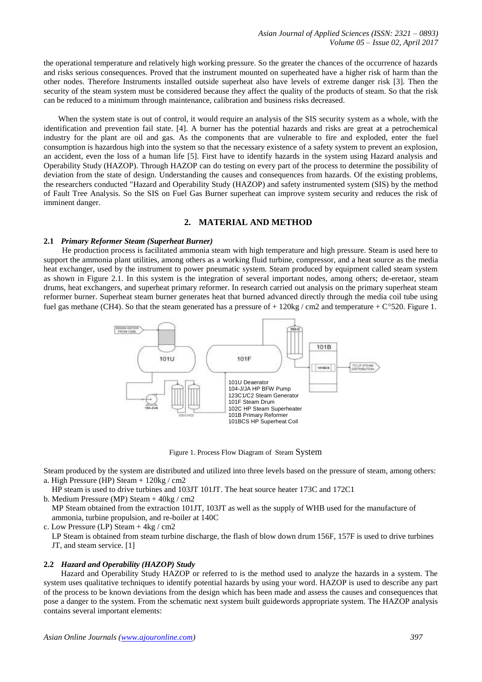the operational temperature and relatively high working pressure. So the greater the chances of the occurrence of hazards and risks serious consequences. Proved that the instrument mounted on superheated have a higher risk of harm than the other nodes. Therefore Instruments installed outside superheat also have levels of extreme danger risk [3]. Then the security of the steam system must be considered because they affect the quality of the products of steam. So that the risk can be reduced to a minimum through maintenance, calibration and business risks decreased.

When the system state is out of control, it would require an analysis of the SIS security system as a whole, with the identification and prevention fail state. [4]. A burner has the potential hazards and risks are great at a petrochemical industry for the plant are oil and gas. As the components that are vulnerable to fire and exploded, enter the fuel consumption is hazardous high into the system so that the necessary existence of a safety system to prevent an explosion, an accident, even the loss of a human life [5]. First have to identify hazards in the system using Hazard analysis and Operability Study (HAZOP). Through HAZOP can do testing on every part of the process to determine the possibility of deviation from the state of design. Understanding the causes and consequences from hazards. Of the existing problems, the researchers conducted "Hazard and Operability Study (HAZOP) and safety instrumented system (SIS) by the method of Fault Tree Analysis. So the SIS on Fuel Gas Burner superheat can improve system security and reduces the risk of imminent danger.

# **2. MATERIAL AND METHOD**

#### **2.1** *Primary Reformer Steam (Superheat Burner)*

He production process is facilitated ammonia steam with high temperature and high pressure. Steam is used here to support the ammonia plant utilities, among others as a working fluid turbine, compressor, and a heat source as the media heat exchanger, used by the instrument to power pneumatic system. Steam produced by equipment called steam system as shown in Figure 2.1. In this system is the integration of several important nodes, among others; de-eretaor, steam drums, heat exchangers, and superheat primary reformer. In research carried out analysis on the primary superheat steam reformer burner. Superheat steam burner generates heat that burned advanced directly through the media coil tube using fuel gas methane (CH4). So that the steam generated has a pressure of  $+ 120$ kg / cm2 and temperature  $+ C^{\circ}520$ . Figure 1.



Figure 1. Process Flow Diagram of Steam System

Steam produced by the system are distributed and utilized into three levels based on the pressure of steam, among others: a. High Pressure (HP) Steam + 120kg / cm2

 HP steam is used to drive turbines and 103JT 101JT. The heat source heater 173C and 172C1 b. Medium Pressure (MP) Steam + 40kg / cm2

 MP Steam obtained from the extraction 101JT, 103JT as well as the supply of WHB used for the manufacture of ammonia, turbine propulsion, and re-boiler at 140C

c. Low Pressure (LP) Steam + 4kg / cm2

 LP Steam is obtained from steam turbine discharge, the flash of blow down drum 156F, 157F is used to drive turbines JT, and steam service. [1]

#### **2.2** *Hazard and Operability (HAZOP) Study*

Hazard and Operability Study HAZOP or referred to is the method used to analyze the hazards in a system. The system uses qualitative techniques to identify potential hazards by using your word. HAZOP is used to describe any part of the process to be known deviations from the design which has been made and assess the causes and consequences that pose a danger to the system. From the schematic next system built guidewords appropriate system. The HAZOP analysis contains several important elements: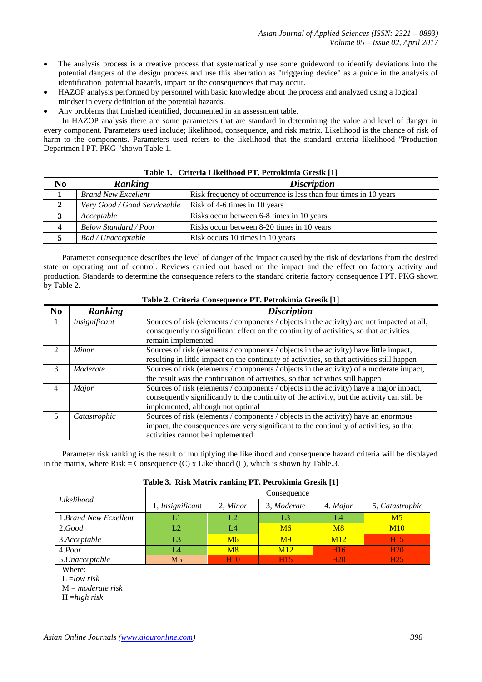- The analysis process is a creative process that systematically use some guideword to identify deviations into the potential dangers of the design process and use this aberration as "triggering device" as a guide in the analysis of identification potential hazards, impact or the consequences that may occur.
- HAZOP analysis performed by personnel with basic knowledge about the process and analyzed using a logical mindset in every definition of the potential hazards.
- Any problems that finished identified, documented in an assessment table.

In HAZOP analysis there are some parameters that are standard in determining the value and level of danger in every component. Parameters used include; likelihood, consequence, and risk matrix. Likelihood is the chance of risk of harm to the components. Parameters used refers to the likelihood that the standard criteria likelihood "Production Departmen I PT. PKG "shown Table 1.

|                  | $-$ 0.0 $-$ 0.0 $-$ 0.0 $-$ 0.0 $-$ 0.0 $-$ 0.0 $-$ 0.0 $-$ 0.0 $-$ 0.0 $-$ 0.0 $-$ 0.0 $-$ 0.0 $-$ 0.0 $-$ 0.0 $-$ 0.0 $-$ 0.0 $-$ 0.0 $-$ 0.0 $-$ 0.0 $-$ 0.0 $-$ 0.0 $-$ 0.0 $-$ 0.0 $-$ 0.0 $-$ 0.0 $-$ 0.0 $-$ 0.0 $-$ 0 |                                                                  |  |  |  |
|------------------|-------------------------------------------------------------------------------------------------------------------------------------------------------------------------------------------------------------------------------|------------------------------------------------------------------|--|--|--|
| N <sub>0</sub>   | Ranking                                                                                                                                                                                                                       | <i>Discription</i>                                               |  |  |  |
|                  | <b>Brand New Excellent</b>                                                                                                                                                                                                    | Risk frequency of occurrence is less than four times in 10 years |  |  |  |
|                  | Very Good / Good Serviceable                                                                                                                                                                                                  | Risk of 4-6 times in 10 years                                    |  |  |  |
|                  | Acceptable                                                                                                                                                                                                                    | Risks occur between 6-8 times in 10 years                        |  |  |  |
| $\boldsymbol{4}$ | <b>Below Standard / Poor</b>                                                                                                                                                                                                  | Risks occur between 8-20 times in 10 years                       |  |  |  |
|                  | Bad / Unacceptable                                                                                                                                                                                                            | Risk occurs 10 times in 10 years                                 |  |  |  |

#### **Table 1. Criteria Likelihood PT. Petrokimia Gresik [1]**

Parameter consequence describes the level of danger of the impact caused by the risk of deviations from the desired state or operating out of control. Reviews carried out based on the impact and the effect on factory activity and production. Standards to determine the consequence refers to the standard criteria factory consequence I PT. PKG shown by Table 2.

| N <sub>0</sub> | Ranking       | <b>Discription</b>                                                                          |  |  |  |  |  |  |
|----------------|---------------|---------------------------------------------------------------------------------------------|--|--|--|--|--|--|
| 1              | Insignificant | Sources of risk (elements / components / objects in the activity) are not impacted at all,  |  |  |  |  |  |  |
|                |               | consequently no significant effect on the continuity of activities, so that activities      |  |  |  |  |  |  |
|                |               | remain implemented                                                                          |  |  |  |  |  |  |
| $\mathfrak{D}$ | Minor         | Sources of risk (elements / components / objects in the activity) have little impact,       |  |  |  |  |  |  |
|                |               | resulting in little impact on the continuity of activities, so that activities still happen |  |  |  |  |  |  |
| 3              | Moderate      | Sources of risk (elements / components / objects in the activity) of a moderate impact,     |  |  |  |  |  |  |
|                |               | the result was the continuation of activities, so that activities still happen              |  |  |  |  |  |  |
| 4              | Major         | Sources of risk (elements / components / objects in the activity) have a major impact,      |  |  |  |  |  |  |
|                |               | consequently significantly to the continuity of the activity, but the activity can still be |  |  |  |  |  |  |
|                |               | implemented, although not optimal                                                           |  |  |  |  |  |  |
| 5              | Catastrophic  | Sources of risk (elements / components / objects in the activity) have an enormous          |  |  |  |  |  |  |
|                |               | impact, the consequences are very significant to the continuity of activities, so that      |  |  |  |  |  |  |
|                |               | activities cannot be implemented                                                            |  |  |  |  |  |  |

# **Table 2. Criteria Consequence PT. Petrokimia Gresik [1]**

Parameter risk ranking is the result of multiplying the likelihood and consequence hazard criteria will be displayed in the matrix, where  $Risk =$  Consequence  $(C)$  x Likelihood  $(L)$ , which is shown by Table.3.

|  | Table 3. Risk Matrix ranking PT. Petrokimia Gresik [1] |
|--|--------------------------------------------------------|
|--|--------------------------------------------------------|

|                       | Consequence      |            |                |                 |                 |  |  |
|-----------------------|------------------|------------|----------------|-----------------|-----------------|--|--|
| Likelihood            | 1, Insignificant | 2, Minor   | 3, Moderate    | 4. Major        | 5, Catastrophic |  |  |
| 1.Brand New Ecxellent |                  | L2         | L3<br>L4       |                 | M <sub>5</sub>  |  |  |
| 2. Good               | L2               | L4         | M6             | M8              | M10             |  |  |
| 3.Acceptable          | L3               | M6         | M <sup>9</sup> | M12             | H <sub>15</sub> |  |  |
| 4.Poor                | L4               | M8         | M12            | H <sub>16</sub> | <b>H20</b>      |  |  |
| 5.Unacceptable        | M5               | <b>H10</b> | <b>H15</b>     | <b>H20</b>      | H <sub>25</sub> |  |  |

Where:

L =*low risk*

M = *moderate risk*

H =*high risk*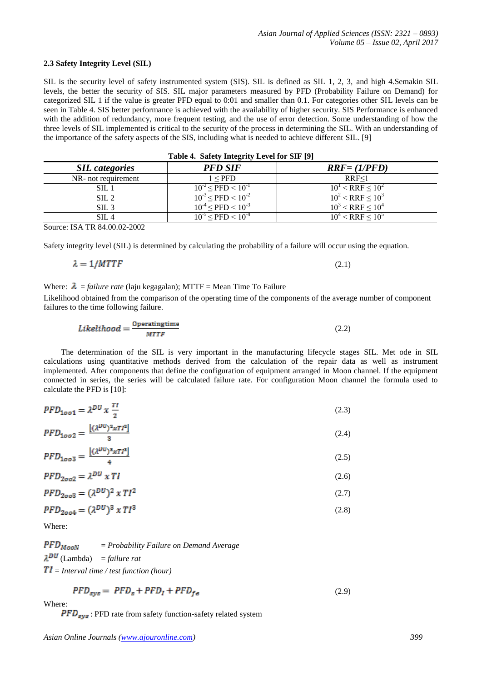# **2.3 Safety Integrity Level (SIL)**

SIL is the security level of safety instrumented system (SIS). SIL is defined as SIL 1, 2, 3, and high 4.Semakin SIL levels, the better the security of SIS. SIL major parameters measured by PFD (Probability Failure on Demand) for categorized SIL 1 if the value is greater PFD equal to 0:01 and smaller than 0.1. For categories other SIL levels can be seen in Table 4. SIS better performance is achieved with the availability of higher security. SIS Performance is enhanced with the addition of redundancy, more frequent testing, and the use of error detection. Some understanding of how the three levels of SIL implemented is critical to the security of the process in determining the SIL. With an understanding of the importance of the safety aspects of the SIS, including what is needed to achieve different SIL. [9]

| Table 4. Safety Integrity Level for SIF [9] |                                 |                          |  |  |  |  |
|---------------------------------------------|---------------------------------|--------------------------|--|--|--|--|
| <b>SIL</b> categories                       | <b>PFD SIF</b>                  | $RRF = (1/PFD)$          |  |  |  |  |
| NR- not requirement                         | 1 < PFD                         | RRF<1                    |  |  |  |  |
| SL1                                         | $10^{-2} \leq PFD \leq 10^{-1}$ | $10^1$ < RRF $\leq 10^2$ |  |  |  |  |
| SL <sub>2</sub>                             | $10^{-3} \leq PFD \leq 10^{-2}$ | $10^2$ < RRF $\leq 10^3$ |  |  |  |  |
| SIL3                                        | $10^{-4} \leq PFD \leq 10^{-3}$ | $10^3$ < RRF < $10^4$    |  |  |  |  |
| SIL4                                        | $10^{-5} \leq PFD \leq 10^{-4}$ | $10^4$ < RRF < $10^5$    |  |  |  |  |

Source: ISA TR 84.00.02-2002

Safety integrity level (SIL) is determined by calculating the probability of a failure will occur using the equation.

$$
\lambda = 1/MTTF \tag{2.1}
$$

## Where:  $\lambda$  = *failure rate* (laju kegagalan); MTTF = Mean Time To Failure

Likelihood obtained from the comparison of the operating time of the components of the average number of component failures to the time following failure.

$$
Likelihood = \frac{\text{Operatingtime}}{\text{MTTF}} \tag{2.2}
$$

The determination of the SIL is very important in the manufacturing lifecycle stages SIL. Met ode in SIL calculations using quantitative methods derived from the calculation of the repair data as well as instrument implemented. After components that define the configuration of equipment arranged in Moon channel. If the equipment connected in series, the series will be calculated failure rate. For configuration Moon channel the formula used to calculate the PFD is [10]:

| $PFD_{1oo1} = \lambda^{DU} x \frac{TI}{2}$                | (2.3) |
|-----------------------------------------------------------|-------|
| $PFD_{\text{max}} = \frac{[(\lambda^{DU})^2 x T I^2]}{I}$ |       |

$$
25.121662
$$
  
9  
9  
5  
1.14  
1.15  
1.16  
1.16  
1.17  
1.18  
1.18  
1.18  
1.18  
1.18  
1.19  
1.19  
1.19  
1.19  
1.19  
1.19  
1.19  
1.19  
1.19  
1.19  
1.19  
1.19  
1.19  
1.19  
1.19  
1.19  
1.19  
1.19  
1.19  
1.19  
1.19  
1.19  
1.19  
1.19  
1.19  
1.19  
1.19  
1.19  
1.19  
1.19  
1.19  
1.19  
1.19  
1.19  
1.19  
1.19  
1.19  
1.19  
1.19  
1.19  
1.19  
1.19  
1.19  
1.19  
1.19  
1.19  
1.19  
1.19  
1.19  
1.19  
1.19  
1.19  
1.19  
1.19  
1.19  
1.19  
1.19  
1.19  
1.19  
1.19  
1.19  
1.19  
1.19  
1.19  
1.19  
1.19  
1.19  
1.19  
1.19  
1.19  
1.19  
1.19  
1.19  
1.19  
1.19  
1.19  
1.19  
1.19  
1.19  
1.19  
1.19  
1.19  
1.19  
1.19  
1.19  
1.19  
1.19  
1.19  
1.19  
1.19  
1.19  
1.19  
1.19  
1.19  
1.19  
1.19  
1.19  
1.19  
1.19  
1.19  
1.19  
1.19  
1.19  
1.19  
1.19  
1.19  
1.19  
1.19  
1.19  
1.19  
1.19  
1.19  
1.19

$$
PFD_{1003} = \frac{100 \times 1000}{4}
$$
\n
$$
PFD_{2002} = \lambda^{DU} \times T1
$$
\n(2.6)

$$
PFD_{2003} = (\lambda^{DU})^2 \times T l^2 \tag{2.7}
$$

$$
PFD_{2004} = (\lambda^{DU})^3 \times T I^3
$$
 (2.8)

Where:

 $PFD_{Moon}$ = *Probability Failure on Demand Average*   $\lambda^{DU}$  (Lambda) = *failure rat*  $TI = Interval$  time / test function (hour)

$$
PFD_{sys} = PFD_s + PFD_l + PFD_{fe}
$$
\n
$$
\tag{2.9}
$$

Where:

 $\overline{PFD}_{sys}$ : PFD rate from safety function-safety related system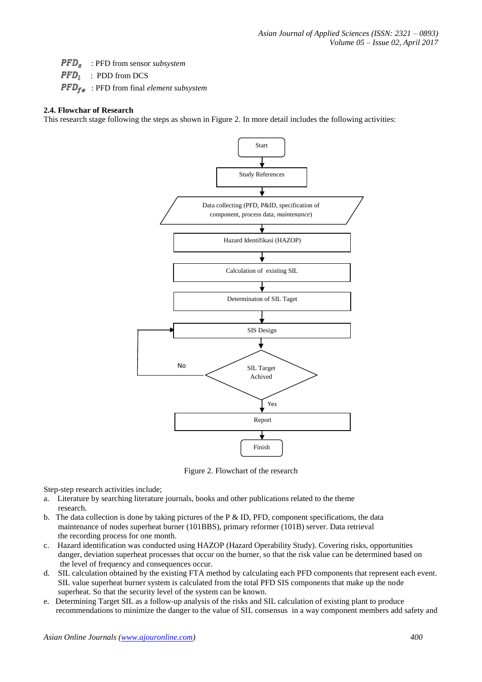: PFD from sensor *subsystem*

 $\overline{PFD_i}$  : PDD from DCS

: PFD from final *element subsystem*

## **2.4. Flowchar of Research**

This research stage following the steps as shown in Figure 2. In more detail includes the following activities:



Figure 2. Flowchart of the research

Step-step research activities include;

- a. Literature by searching literature journals, books and other publications related to the theme research.
- b. The data collection is done by taking pictures of the P  $\&$  ID, PFD, component specifications, the data maintenance of nodes superheat burner (101BBS), primary reformer (101B) server. Data retrieval the recording process for one month.
- c. Hazard identification was conducted using HAZOP (Hazard Operability Study). Covering risks, opportunities danger, deviation superheat processes that occur on the burner, so that the risk value can be determined based on the level of frequency and consequences occur.
- d. SIL calculation obtained by the existing FTA method by calculating each PFD components that represent each event. SIL value superheat burner system is calculated from the total PFD SIS components that make up the node superheat. So that the security level of the system can be known.
- e. Determining Target SIL as a follow-up analysis of the risks and SIL calculation of existing plant to produce recommendations to minimize the danger to the value of SIL consensus in a way component members add safety and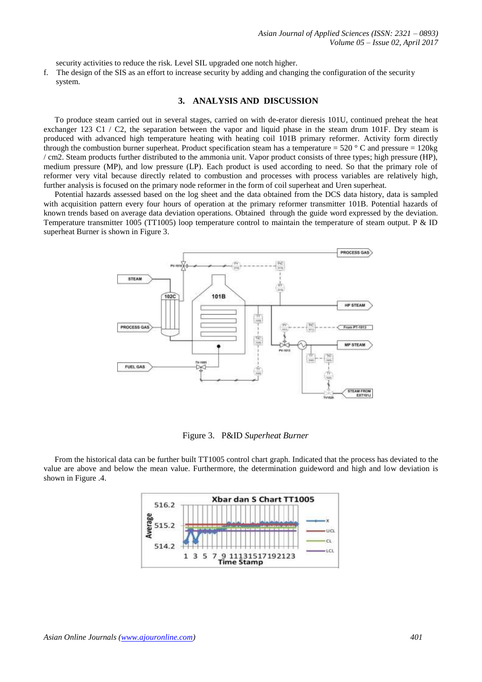security activities to reduce the risk. Level SIL upgraded one notch higher.

f. The design of the SIS as an effort to increase security by adding and changing the configuration of the security system.

#### **3. ANALYSIS AND DISCUSSION**

To produce steam carried out in several stages, carried on with de-erator dieresis 101U, continued preheat the heat exchanger 123 C1 / C2, the separation between the vapor and liquid phase in the steam drum 101F. Dry steam is produced with advanced high temperature heating with heating coil 101B primary reformer. Activity form directly through the combustion burner superheat. Product specification steam has a temperature =  $520\degree$ C and pressure =  $120\text{kg}$ / cm2. Steam products further distributed to the ammonia unit. Vapor product consists of three types; high pressure (HP), medium pressure (MP), and low pressure (LP). Each product is used according to need. So that the primary role of reformer very vital because directly related to combustion and processes with process variables are relatively high, further analysis is focused on the primary node reformer in the form of coil superheat and Uren superheat.

Potential hazards assessed based on the log sheet and the data obtained from the DCS data history, data is sampled with acquisition pattern every four hours of operation at the primary reformer transmitter 101B. Potential hazards of known trends based on average data deviation operations. Obtained through the guide word expressed by the deviation. Temperature transmitter 1005 (TT1005) loop temperature control to maintain the temperature of steam output. P & ID superheat Burner is shown in Figure 3.



Figure 3. P&ID *Superheat Burner*

From the historical data can be further built TT1005 control chart graph. Indicated that the process has deviated to the value are above and below the mean value. Furthermore, the determination guideword and high and low deviation is shown in Figure .4.

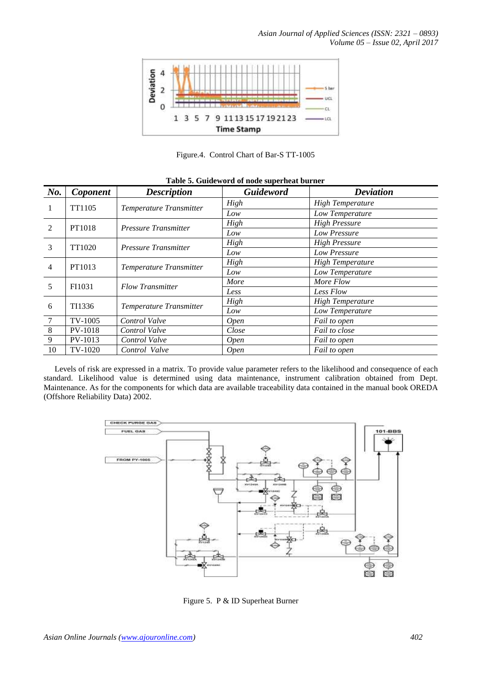

Figure.4. Control Chart of Bar-S TT-1005

| No.            | Coponent       | <b>Description</b>          | <b>Guideword</b> | <b>Deviation</b>        |
|----------------|----------------|-----------------------------|------------------|-------------------------|
| 1              | TT1105         | Temperature Transmitter     | High             | <b>High Temperature</b> |
|                |                |                             | Low              | Low Temperature         |
| 2              | PT1018         | Pressure Transmitter        | High             | <b>High Pressure</b>    |
|                |                |                             | Low              | Low Pressure            |
| 3              | TT1020         | <b>Pressure Transmitter</b> | High             | <b>High Pressure</b>    |
|                |                |                             | Low              | Low Pressure            |
| $\overline{4}$ | PT1013         | Temperature Transmitter     | High             | <b>High Temperature</b> |
|                |                |                             | Low              | Low Temperature         |
| 5              | FI1031         | <b>Flow Transmitter</b>     | More             | More Flow               |
|                |                |                             | Less             | Less Flow               |
| 6              | TI1336         | Temperature Transmitter     | High             | <b>High Temperature</b> |
|                |                |                             | Low              | Low Temperature         |
| $\overline{7}$ | TV-1005        | Control Valve               | <i>Open</i>      | Fail to open            |
| 8              | <b>PV-1018</b> | Control Valve               | Close            | Fail to close           |
| 9              | PV-1013        | Control Valve               | <b>Open</b>      | Fail to open            |
| 10             | TV-1020        | Control Valve               | <b>Open</b>      | Fail to open            |

#### **Table 5. Guideword of node superheat burner**

Levels of risk are expressed in a matrix. To provide value parameter refers to the likelihood and consequence of each standard. Likelihood value is determined using data maintenance, instrument calibration obtained from Dept. Maintenance. As for the components for which data are available traceability data contained in the manual book OREDA (Offshore Reliability Data) 2002.



Figure 5. P & ID Superheat Burner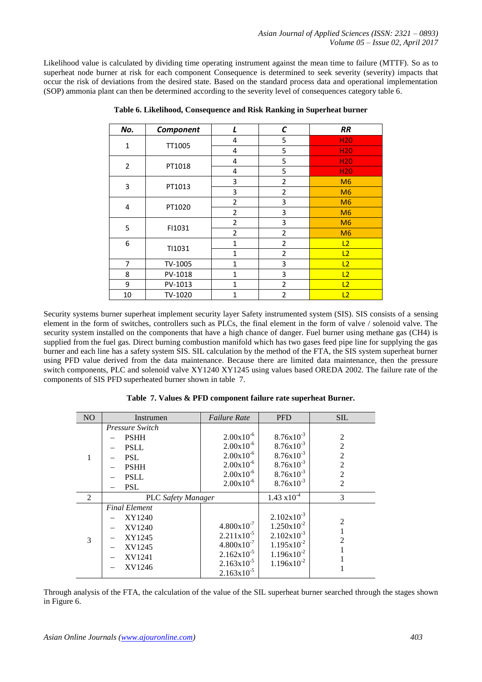Likelihood value is calculated by dividing time operating instrument against the mean time to failure (MTTF). So as to superheat node burner at risk for each component Consequence is determined to seek severity (severity) impacts that occur the risk of deviations from the desired state. Based on the standard process data and operational implementation (SOP) ammonia plant can then be determined according to the severity level of consequences category table 6.

| No.            | Component | L                                          | С                                                                                                                                                               | <b>RR</b>       |
|----------------|-----------|--------------------------------------------|-----------------------------------------------------------------------------------------------------------------------------------------------------------------|-----------------|
| $\mathbf{1}$   | TT1005    | 4                                          | 5                                                                                                                                                               | H <sub>20</sub> |
|                |           | 4                                          | 5                                                                                                                                                               | H <sub>20</sub> |
| $\overline{2}$ | PT1018    | 4                                          | 5                                                                                                                                                               | H <sub>20</sub> |
|                |           | 5<br>$\overline{4}$<br>3<br>$\overline{2}$ | <b>H20</b>                                                                                                                                                      |                 |
| 3              | PT1013    |                                            |                                                                                                                                                                 | M6              |
|                |           | 3                                          | $\overline{2}$                                                                                                                                                  | M6              |
| 4              | PT1020    | $\overline{2}$                             | 3                                                                                                                                                               | M6              |
|                |           | $\overline{2}$                             | 3                                                                                                                                                               | M6              |
| 5              | FI1031    | $\overline{2}$                             | 3                                                                                                                                                               | M6              |
|                |           | $\overline{2}$                             | $\overline{2}$<br>$\overline{2}$<br>$\mathbf{1}$<br>$\overline{2}$<br>$\mathbf{1}$<br>1<br>3<br>3<br>1<br>$\overline{2}$<br>$\mathbf{1}$<br>$\overline{2}$<br>1 | M6              |
| 6              | TI1031    |                                            |                                                                                                                                                                 | L2              |
|                |           |                                            |                                                                                                                                                                 | L2              |
| 7              | TV-1005   |                                            |                                                                                                                                                                 | L2              |
| 8              | PV-1018   |                                            |                                                                                                                                                                 | L2              |
| 9              | PV-1013   |                                            |                                                                                                                                                                 | L2              |
| 10             | TV-1020   |                                            |                                                                                                                                                                 | L2              |

**Table 6. Likelihood, Consequence and Risk Ranking in Superheat burner**

Security systems burner superheat implement security layer Safety instrumented system (SIS). SIS consists of a sensing element in the form of switches, controllers such as PLCs, the final element in the form of valve / solenoid valve. The security system installed on the components that have a high chance of danger. Fuel burner using methane gas (CH4) is supplied from the fuel gas. Direct burning combustion manifold which has two gases feed pipe line for supplying the gas burner and each line has a safety system SIS. SIL calculation by the method of the FTA, the SIS system superheat burner using PFD value derived from the data maintenance. Because there are limited data maintenance, then the pressure switch components, PLC and solenoid valve XY1240 XY1245 using values based OREDA 2002. The failure rate of the components of SIS PFD superheated burner shown in table 7.

| <b>NO</b> | Instrumen                                                                                                      | <i>Failure Rate</i>                                                                                                                                      | <b>PFD</b>                                                                                                                          | <b>SIL</b>                                                                                  |
|-----------|----------------------------------------------------------------------------------------------------------------|----------------------------------------------------------------------------------------------------------------------------------------------------------|-------------------------------------------------------------------------------------------------------------------------------------|---------------------------------------------------------------------------------------------|
| 1         | <b>Pressure Switch</b><br><b>PSHH</b><br><b>PSLL</b><br><b>PSL</b><br><b>PSHH</b><br><b>PSLL</b><br><b>PSL</b> | $2.00x10^{-6}$<br>$2.00x10^{-6}$<br>$2.00x10^{-6}$<br>$2.00x10^{-6}$<br>$2.00x10^{-6}$<br>$2.00x10^{-6}$                                                 | $8.76x10^{-3}$<br>$8.76x10^{-3}$<br>$8.76x10^{-3}$<br>$8.76x10^{-3}$<br>$8.76x10^{-3}$<br>$8.76x10^{-3}$                            | $\overline{2}$<br>2<br>$\overline{2}$<br>$\overline{2}$<br>$\overline{2}$<br>$\overline{2}$ |
| 2         | <b>PLC</b> Safety Manager                                                                                      |                                                                                                                                                          | $1.43 \times 10^{-4}$                                                                                                               | 3                                                                                           |
| 3         | <b>Final Element</b><br>XY1240<br>XV1240<br>XY1245<br>XV1245<br>XV1241<br>XV1246                               | $4.800 \times 10^{-7}$<br>$2.211 \times 10^{-5}$<br>$4.800 \times 10^{-7}$<br>$2.162 \times 10^{-5}$<br>$2.163 \times 10^{-5}$<br>$2.163 \times 10^{-5}$ | $2.102 \times 10^{-3}$<br>$1.250 \times 10^{-2}$<br>$2.102 \times 10^{-3}$<br>$1.195x10^{-2}$<br>$1.196x10^{-2}$<br>$1.196x10^{-2}$ | 2<br>2                                                                                      |

**Table 7. Values & PFD component failure rate superheat Burner.**

Through analysis of the FTA, the calculation of the value of the SIL superheat burner searched through the stages shown in Figure 6.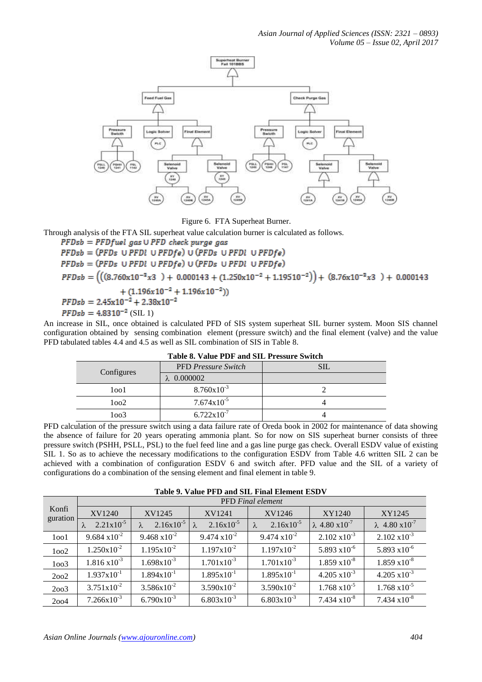

Figure 6. FTA Superheat Burner.

Through analysis of the FTA SIL superheat value calculation burner is calculated as follows.

 $PFDsb = PFDfuel$  gas  $\cup$   $PFD$  check purge gas  $PFDsb = (PFDs \cup PFDI \cup PFDfe) \cup (PFDs \cup PFDI \cup PFDfe)$  $PFDsb = (PFDs \cup PFDI \cup PFDfe) \cup (PFDs \cup PFDI \cup PFDfe)$  $PFDsb = (((8.760 \times 10^{-3} \times 3) + 0.000143 + (1.250 \times 10^{-2} + 1.19510^{-2})) + (8.76 \times 10^{-3} \times 3) + 0.000143$  $+(1.196x10^{-2}+1.196x10^{-2}))$  $PFDsb = 2.45 \times 10^{-2} + 2.38 \times 10^{-2}$  $PFDsb = 4.8310^{-2}$  (SIL 1)

An increase in SIL, once obtained is calculated PFD of SIS system superheat SIL burner system. Moon SIS channel configuration obtained by sensing combination element (pressure switch) and the final element (valve) and the value PFD tabulated tables 4.4 and 4.5 as well as SIL combination of SIS in Table 8.

|  | Table 6. Value I Dr and SIL I ressure Switch |                            |     |  |  |  |
|--|----------------------------------------------|----------------------------|-----|--|--|--|
|  | Configures                                   | <b>PFD</b> Pressure Switch | SIL |  |  |  |
|  |                                              | $\lambda$ 0.000002         |     |  |  |  |
|  | 1001                                         | $8.760 \times 10^{-3}$     |     |  |  |  |
|  | 1002                                         | $7.674 \times 10^{-5}$     |     |  |  |  |
|  | 1003                                         | $6.722 \times 10^{-7}$     |     |  |  |  |

**Table 8. Value PDF and SIL Pressure Switch**

PFD calculation of the pressure switch using a data failure rate of Oreda book in 2002 for maintenance of data showing the absence of failure for 20 years operating ammonia plant. So for now on SIS superheat burner consists of three pressure switch (PSHH, PSLL, PSL) to the fuel feed line and a gas line purge gas check. Overall ESDV value of existing SIL 1. So as to achieve the necessary modifications to the configuration ESDV from Table 4.6 written SIL 2 can be achieved with a combination of configuration ESDV 6 and switch after. PFD value and the SIL of a variety of configurations do a combination of the sensing element and final element in table 9.

**Table 9. Value PFD and SIL Final Element ESDV**

| Konfi<br>guration | <b>PFD</b> Final element |                        |                        |                        |                           |                           |  |  |
|-------------------|--------------------------|------------------------|------------------------|------------------------|---------------------------|---------------------------|--|--|
|                   | XV1240                   | XV1245                 | XV1241                 | XV1246                 | XY1240                    | XY1245                    |  |  |
|                   | $2.21 \times 10^{-5}$    | $2.16x10^{-5}$         | $2.16x10^{-5}$         | $2.16x10^{-5}$         | $\lambda$ 4.80 $x10^{-7}$ | $\lambda$ 4.80 $x10^{-7}$ |  |  |
| 1001              | $9.684 \times 10^{-2}$   | $9.468 \times 10^{-2}$ | $9.474 \times 10^{-2}$ | $9.474 \times 10^{-2}$ | $2.102 \times 10^{-3}$    | $2.102 \times 10^{-3}$    |  |  |
| 1002              | $1.250 \times 10^{-2}$   | $1.195 \times 10^{-2}$ | $1.197x10^{-2}$        | $1.197x10^{-2}$        | $5.893 \times 10^{-6}$    | 5.893 $x10^{-6}$          |  |  |
| 1003              | $1.816 \times 10^{-3}$   | $1.698x10^{-3}$        | $1.701 \times 10^{-3}$ | $1.701x10^{-3}$        | $1.859 \times 10^{-8}$    | $1.859 \times 10^{-8}$    |  |  |
| 2002              | $1.937 \times 10^{-1}$   | $1.894 \times 10^{-1}$ | $1.895 \times 10^{-1}$ | $1.895 \times 10^{-1}$ | $4.205 \times 10^{-3}$    | $4.205 \times 10^{-3}$    |  |  |
| 2003              | $3.751 \times 10^{-2}$   | $3.586x10^{-2}$        | $3.590x10^{-2}$        | $3.590x10^{-2}$        | $1.768 \times 10^{-5}$    | $1.768 \times 10^{-5}$    |  |  |
| 2004              | $7.266 \times 10^{-3}$   | $6.790x10^{-3}$        | $6.803 \times 10^{-3}$ | $6.803 \times 10^{-3}$ | $7.434 \times 10^{-8}$    | $7.434 \times 10^{-8}$    |  |  |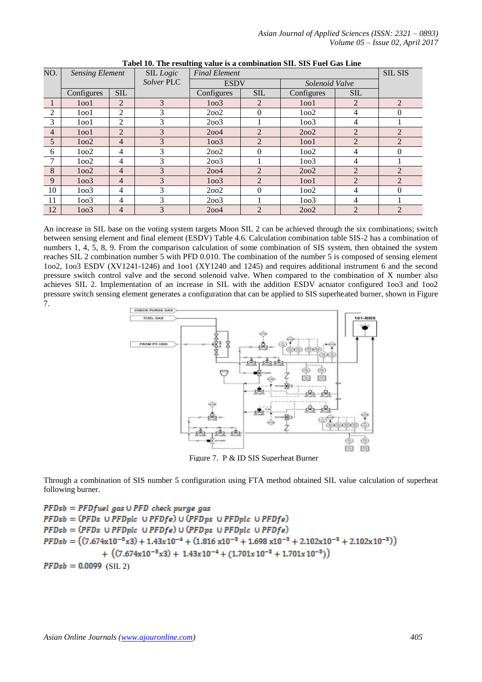| NO.            | SIL Logic<br><b>Sensing Element</b> |                |               | <b>Final Element</b> |                |                   |                | <b>SIL SIS</b> |
|----------------|-------------------------------------|----------------|---------------|----------------------|----------------|-------------------|----------------|----------------|
|                |                                     |                | Solver PLC    |                      | <b>ESDV</b>    |                   | Solenoid Valve |                |
|                | Configures                          | $SIL$          |               | Configures           | <b>SIL</b>     | Configures        | <b>SIL</b>     |                |
|                | 1001                                | $\overline{2}$ | 3             | 1003                 | $\overline{2}$ | 1001              | $\overline{2}$ | 2              |
| $\overline{2}$ | 1001                                | 2              | 3             | 2002                 | $\theta$       | 1002              | 4              | 0              |
| 3              | 1001                                | 2              | 3             | 2003                 |                | 1003              | 4              |                |
| $\overline{4}$ | 1 <sub>oo1</sub>                    | $\overline{2}$ | 3             | 2004                 | $\overline{2}$ | 2002              | $\overline{2}$ | $\overline{2}$ |
| 5              | 1002                                | $\overline{4}$ | 3             | 1003                 | $\overline{2}$ | 1001              | $\overline{2}$ | $\overline{2}$ |
| 6              | 1002                                | 4              | 3             | 2002                 | $\Omega$       | 1002              | 4              | $\mathbf{0}$   |
| 7              | 1002                                | 4              | 3             | 2003                 |                | 1 <sub>oo</sub> 3 | 4              |                |
| 8              | 1002                                | $\overline{4}$ | 3             | 2004                 | $\overline{2}$ | 2002              | $\overline{2}$ | $\overline{2}$ |
| 9              | 1 <sub>oo</sub> 3                   | 4              | 3             | 1003                 | $\overline{2}$ | 1001              | $\overline{2}$ | $\overline{2}$ |
| 10             | 1003                                | 4              | 3             | 2002                 | $\theta$       | 1002              | 4              | $\overline{0}$ |
| 11             | 1003                                | $\overline{4}$ | 3             | 2003                 |                | 1003              | 4              |                |
| 12             | 1 <sub>oo</sub> 3                   | $\overline{4}$ | $\mathcal{R}$ | 2004                 | $\mathfrak{D}$ | 2002              | $\mathfrak{D}$ | $\overline{2}$ |

**Tabel 10. The resulting value is a combination SIL SIS Fuel Gas Line**

An increase in SIL base on the voting system targets Moon SIL 2 can be achieved through the six combinations; switch between sensing element and final element (ESDV) Table 4.6. Calculation combination table SIS-2 has a combination of numbers 1, 4, 5, 8, 9. From the comparison calculation of some combination of SIS system, then obtained the system reaches SIL 2 combination number 5 with PFD 0.010. The combination of the number 5 is composed of sensing element 1oo2, 1oo3 ESDV (XV1241-1246) and 1oo1 (XY1240 and 1245) and requires additional instrument 6 and the second pressure switch control valve and the second solenoid valve. When compared to the combination of X number also achieves SIL 2. Implementation of an increase in SIL with the addition ESDV actuator configured 1oo3 and 1oo2 pressure switch sensing element generates a configuration that can be applied to SIS superheated burner, shown in Figure 7.



Figure 7. P & ID SIS Superheat Burner

Through a combination of SIS number 5 configuration using FTA method obtained SIL value calculation of superheat following burner.

 $PFDsb = PFDfuel gas \cup PFD check purge gas$  $PFDsb = (PFDs \cup PFDple \cup PFDfe) \cup (PFDps \cup PFDple \cup PFDfe)$  $PFDsb = (PFDs \cup PFDple \cup PFDfe) \cup (PFDps \cup PFDple \cup PFDfe)$  $PFDsb = ((7.674 \times 10^{-5} \times 3) + 1.43 \times 10^{-4} + (1.816 \times 10^{-3} + 1.698 \times 10^{-3} + 2.102 \times 10^{-3} + 2.102 \times 10^{-3}))$ +  $((7.674x10^{-5}x3) + 1.43x10^{-4} + (1.701x10^{-3} + 1.701x10^{-3}))$  $PFDsb = 0.0099$  (SIL 2)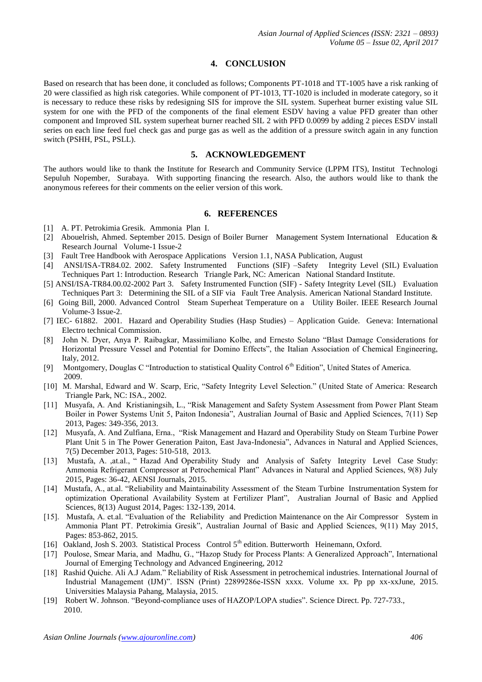## **4. CONCLUSION**

Based on research that has been done, it concluded as follows; Components PT-1018 and TT-1005 have a risk ranking of 20 were classified as high risk categories. While component of PT-1013, TT-1020 is included in moderate category, so it is necessary to reduce these risks by redesigning SIS for improve the SIL system. Superheat burner existing value SIL system for one with the PFD of the components of the final element ESDV having a value PFD greater than other component and Improved SIL system superheat burner reached SIL 2 with PFD 0.0099 by adding 2 pieces ESDV install series on each line feed fuel check gas and purge gas as well as the addition of a pressure switch again in any function switch (PSHH, PSL, PSLL).

#### **5. ACKNOWLEDGEMENT**

The authors would like to thank the Institute for Research and Community Service (LPPM ITS), Institut Technologi Sepuluh Nopember, Surabaya. With supporting financing the research. Also, the authors would like to thank the anonymous referees for their comments on the eelier version of this work.

# **6. REFERENCES**

- [1] A. PT. Petrokimia Gresik. Ammonia Plan I.
- [2] Abouelrish, Ahmed. September 2015. Design of Boiler Burner Management System International Education & Research Journal Volume-1 Issue-2
- [3] Fault Tree Handbook with Aerospace Applications Version 1.1, NASA Publication, August
- [4] ANSI/ISA-TR84.02. 2002. Safety Instrumented Functions (SIF) –Safety Integrity Level (SIL) Evaluation Techniques Part 1: Introduction. Research Triangle Park, NC: American National Standard Institute.
- [5] ANSI/ISA-TR84.00.02-2002 Part 3. Safety Instrumented Function (SIF) Safety Integrity Level (SIL) Evaluation Techniques Part 3: Determining the SIL of a SIF via Fault Tree Analysis. American National Standard Institute.
- [6] Going Bill, 2000. Advanced Control Steam Superheat Temperature on a Utility Boiler. IEEE Research Journal Volume-3 Issue-2.
- [7] IEC- 61882. 2001. Hazard and Operability Studies (Hasp Studies) Application Guide. Geneva: International Electro technical Commission.
- [8] John N. Dyer, Anya P. Raibagkar, Massimiliano Kolbe, and Ernesto Solano "Blast Damage Considerations for Horizontal Pressure Vessel and Potential for Domino Effects", the Italian Association of Chemical Engineering, Italy, 2012.
- [9] Montgomery, Douglas C "Introduction to statistical Quality Control 6<sup>th</sup> Edition", United States of America. 2009.
- [10] M. Marshal, Edward and W. Scarp, Eric, "Safety Integrity Level Selection." (United State of America: Research Triangle Park, NC: ISA., 2002.
- [11] Musyafa, A. And Kristianingsih, L., "Risk Management and Safety System Assessment from Power Plant Steam Boiler in Power Systems Unit 5, Paiton Indonesia", Australian Journal of Basic and Applied Sciences, 7(11) Sep 2013, Pages: 349-356, 2013.
- [12] Musyafa, A. And Zulfiana, Erna., "Risk Management and Hazard and Operability Study on Steam Turbine Power Plant Unit 5 in The Power Generation Paiton, East Java-Indonesia", Advances in Natural and Applied Sciences, 7(5) December 2013, Pages: 510-518, 2013.
- [13] Mustafa, A. ,at.al., " Hazad And Operability Study and Analysis of Safety Integrity Level Case Study: Ammonia Refrigerant Compressor at Petrochemical Plant" Advances in Natural and Applied Sciences, 9(8) July 2015, Pages: 36-42, AENSI Journals, 2015.
- [14] Mustafa, A., at.al. "Reliability and Maintainability Assessment of the Steam Turbine Instrumentation System for optimization Operational Availability System at Fertilizer Plant", Australian Journal of Basic and Applied Sciences, 8(13) August 2014, Pages: 132-139, 2014.
- [15]. Mustafa, A. et.al. "Evaluation of the Reliability and Prediction Maintenance on the Air Compressor System in Ammonia Plant PT. Petrokimia Gresik", Australian Journal of Basic and Applied Sciences, 9(11) May 2015, Pages: 853-862, 2015.
- [16] Oakland, Josh S. 2003. Statistical Process Control 5<sup>th</sup> edition. Butterworth Heinemann, Oxford.
- [17] Poulose, Smear Maria, and Madhu, G., "Hazop Study for Process Plants: A Generalized Approach", International Journal of Emerging Technology and Advanced Engineering, 2012
- [18] Rashid Quiche. Ali A.J Adam." Reliability of Risk Assessment in petrochemical industries. International Journal of Industrial Management (IJM)". ISSN (Print) 22899286e-ISSN xxxx. Volume xx. Pp pp xx-xxJune, 2015. Universities Malaysia Pahang, Malaysia, 2015.
- [19] Robert W. Johnson. "Beyond-compliance uses of HAZOP/LOPA studies". Science Direct. Pp. 727-733., 2010.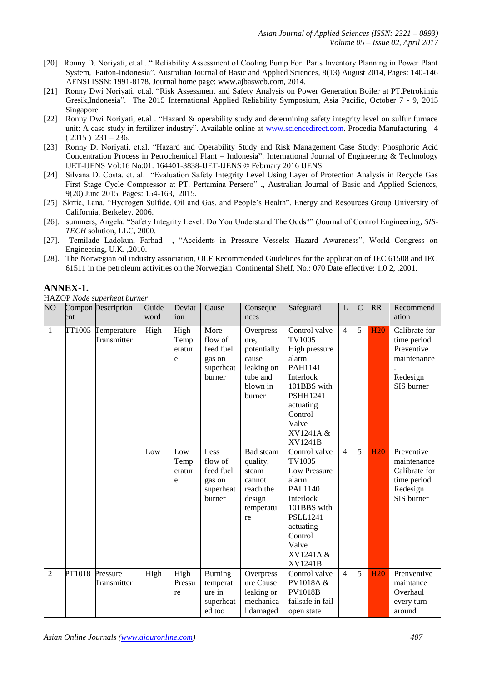- [20] Ronny D. Noriyati, et.al..." Reliability Assessment of Cooling Pump For Parts Inventory Planning in Power Plant System, Paiton-Indonesia". Australian Journal of Basic and Applied Sciences, 8(13) August 2014, Pages: 140-146 AENSI ISSN: 1991-8178. Journal home page: www.ajbasweb.com, 2014.
- [21] Ronny Dwi Noriyati, et.al. "Risk Assessment and Safety Analysis on Power Generation Boiler at PT.Petrokimia Gresik,Indonesia". The 2015 International Applied Reliability Symposium, Asia Pacific, October 7 - 9, 2015 Singapore
- [22] Ronny Dwi Noriyati, et.al . "Hazard & operability study and determining safety integrity level on sulfur furnace unit: A case study in fertilizer industry". Available online at [www.sciencedirect.com.](http://www.sciencedirect.com/) Procedia Manufacturing 4  $(2015) 231 - 236.$
- [23] Ronny D. Noriyati, et.al. "Hazard and Operability Study and Risk Management Case Study: Phosphoric Acid Concentration Process in Petrochemical Plant – Indonesia". International Journal of Engineering & Technology IJET-IJENS Vol:16 No:01. 164401-3838-IJET-IJENS © February 2016 IJENS
- [24] Silvana D. Costa. et. al. "Evaluation Safety Integrity Level Using Layer of Protection Analysis in Recycle Gas First Stage Cycle Compressor at PT. Pertamina Persero" **.,** Australian Journal of Basic and Applied Sciences, 9(20) June 2015, Pages: 154-163, 2015.
- [25] Skrtic, Lana, "Hydrogen Sulfide, Oil and Gas, and People's Health", Energy and Resources Group University of California, Berkeley. 2006.
- [26]. summers, Angela. "Safety Integrity Level: Do You Understand The Odds?" (Journal of Control Engineering*, SIS-TECH* solution, LLC, 2000.
- [27]. Temilade Ladokun, Farhad , "Accidents in Pressure Vessels: Hazard Awareness", World Congress on Engineering, U.K. ,2010.
- [28]. The Norwegian oil industry association, OLF Recommended Guidelines for the application of IEC 61508 and IEC 61511 in the petroleum activities on the Norwegian Continental Shelf, No.: 070 Date effective: 1.0 2, .2001.

# **ANNEX-1.**

HAZOP *Node superheat burner*

| $\overline{NO}$ | ent    | Compon Description                | Guide<br>word | Deviat<br>ion               | Cause                                                         | Conseque<br>nces                                                                          | Safeguard                                                                                                                                                                         | L              | $\mathbf C$ | <b>RR</b>  | Recommend<br>ation                                                                  |
|-----------------|--------|-----------------------------------|---------------|-----------------------------|---------------------------------------------------------------|-------------------------------------------------------------------------------------------|-----------------------------------------------------------------------------------------------------------------------------------------------------------------------------------|----------------|-------------|------------|-------------------------------------------------------------------------------------|
| $\mathbf{1}$    |        | TT1005 Temperature<br>Transmitter | High          | High<br>Temp<br>eratur<br>e | More<br>flow of<br>feed fuel<br>gas on<br>superheat<br>burner | Overpress<br>ure,<br>potentially<br>cause<br>leaking on<br>tube and<br>blown in<br>burner | Control valve<br>TV1005<br>High pressure<br>alarm<br>PAH1141<br>Interlock<br>101BBS with<br><b>PSHH1241</b><br>actuating<br>Control<br>Valve<br>XV1241A &<br><b>XV1241B</b>       | $\overline{4}$ | 5           | <b>H20</b> | Calibrate for<br>time period<br>Preventive<br>maintenance<br>Redesign<br>SIS burner |
|                 |        |                                   | Low           | Low<br>Temp<br>eratur<br>e  | Less<br>flow of<br>feed fuel<br>gas on<br>superheat<br>burner | Bad steam<br>quality,<br>steam<br>cannot<br>reach the<br>design<br>temperatu<br>re        | Control valve<br>TV1005<br>Low Pressure<br>alarm<br><b>PAL1140</b><br>Interlock<br>101BBS with<br><b>PSLL1241</b><br>actuating<br>Control<br>Valve<br>XV1241A &<br><b>XV1241B</b> | $\overline{4}$ | 5           | H20        | Preventive<br>maintenance<br>Calibrate for<br>time period<br>Redesign<br>SIS burner |
| $\overline{2}$  | PT1018 | Pressure<br>Transmitter           | High          | High<br>Pressu<br>re        | <b>Burning</b><br>temperat<br>ure in<br>superheat<br>ed too   | Overpress<br>ure Cause<br>leaking or<br>mechanica<br>1 damaged                            | Control valve<br>PV1018A &<br><b>PV1018B</b><br>failsafe in fail<br>open state                                                                                                    | $\overline{4}$ | 5           | <b>H20</b> | Prenventive<br>maintance<br>Overhaul<br>every turn<br>around                        |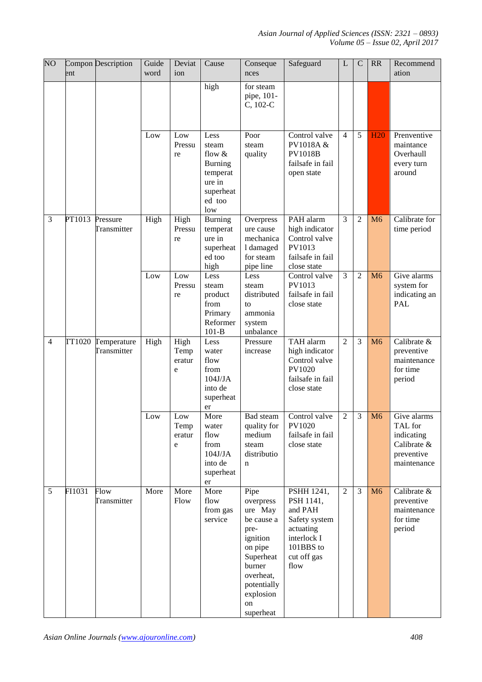*Asian Journal of Applied Sciences (ISSN: 2321 – 0893) Volume 05 – Issue 02, April 2017*

| $\overline{NO}$ | ent    | Compon Description         | Guide<br>word | Deviat<br>ion               | Cause                                                                                         | Conseque<br>nces                                                                                                                                             | Safeguard                                                                                                           | L              | $\mathcal{C}$  | RR             | Recommend<br>ation                                                               |
|-----------------|--------|----------------------------|---------------|-----------------------------|-----------------------------------------------------------------------------------------------|--------------------------------------------------------------------------------------------------------------------------------------------------------------|---------------------------------------------------------------------------------------------------------------------|----------------|----------------|----------------|----------------------------------------------------------------------------------|
|                 |        |                            |               |                             | high                                                                                          | for steam<br>pipe, 101-<br>C, 102-C                                                                                                                          |                                                                                                                     |                |                |                |                                                                                  |
|                 |        |                            | Low           | Low<br>Pressu<br>re         | Less<br>steam<br>flow &<br><b>Burning</b><br>temperat<br>ure in<br>superheat<br>ed too<br>low | Poor<br>steam<br>quality                                                                                                                                     | Control valve<br>PV1018A &<br><b>PV1018B</b><br>failsafe in fail<br>open state                                      | $\overline{4}$ | 5              | <b>H20</b>     | Prenventive<br>maintance<br>Overhaull<br>every turn<br>around                    |
| 3               | PT1013 | Pressure<br>Transmitter    | High          | High<br>Pressu<br>re        | <b>Burning</b><br>temperat<br>ure in<br>superheat<br>ed too<br>high                           | Overpress<br>ure cause<br>mechanica<br>1 damaged<br>for steam<br>pipe line                                                                                   | PAH alarm<br>high indicator<br>Control valve<br>PV1013<br>failsafe in fail<br>close state                           | $\overline{3}$ | $\overline{c}$ | M <sub>6</sub> | Calibrate for<br>time period                                                     |
|                 |        |                            | Low           | Low<br>Pressu<br>re         | Less<br>steam<br>product<br>from<br>Primary<br>Reformer<br>$101-B$                            | Less<br>steam<br>distributed<br>to<br>ammonia<br>system<br>unbalance                                                                                         | Control valve<br>PV1013<br>failsafe in fail<br>close state                                                          | 3              | $\overline{2}$ | M <sub>6</sub> | Give alarms<br>system for<br>indicating an<br><b>PAL</b>                         |
| $\overline{4}$  | TT1020 | Temperature<br>Transmitter | High          | High<br>Temp<br>eratur<br>e | Less<br>water<br>flow<br>from<br>104J/JA<br>into de<br>superheat<br>er                        | Pressure<br>increase                                                                                                                                         | TAH alarm<br>high indicator<br>Control valve<br>PV1020<br>failsafe in fail<br>close state                           | $\overline{2}$ | 3              | M <sub>6</sub> | Calibrate &<br>preventive<br>maintenance<br>for time<br>period                   |
|                 |        |                            | Low           | Low<br>Temp<br>eratur<br>e  | More<br>water<br>flow<br>from<br>104J/JA<br>into de<br>superheat<br>er                        | Bad steam<br>quality for<br>medium<br>steam<br>distributio<br>n                                                                                              | Control valve<br>PV1020<br>failsafe in fail<br>close state                                                          | $\overline{c}$ | 3              | M <sub>6</sub> | Give alarms<br>TAL for<br>indicating<br>Calibrate &<br>preventive<br>maintenance |
| 5               | FI1031 | Flow<br>Transmitter        | More          | More<br>Flow                | More<br>flow<br>from gas<br>service                                                           | Pipe<br>overpress<br>ure May<br>be cause a<br>pre-<br>ignition<br>on pipe<br>Superheat<br>burner<br>overheat,<br>potentially<br>explosion<br>on<br>superheat | PSHH 1241,<br>PSH 1141,<br>and PAH<br>Safety system<br>actuating<br>interlock I<br>101BBS to<br>cut off gas<br>flow | $\overline{2}$ | 3              | M6             | Calibrate &<br>preventive<br>maintenance<br>for time<br>period                   |